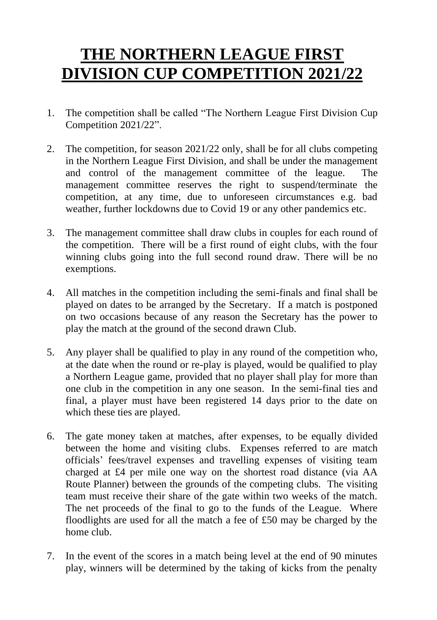## **THE NORTHERN LEAGUE FIRST DIVISION CUP COMPETITION 2021/22**

- 1. The competition shall be called "The Northern League First Division Cup Competition 2021/22".
- 2. The competition, for season 2021/22 only, shall be for all clubs competing in the Northern League First Division, and shall be under the management and control of the management committee of the league. The management committee reserves the right to suspend/terminate the competition, at any time, due to unforeseen circumstances e.g. bad weather, further lockdowns due to Covid 19 or any other pandemics etc.
- 3. The management committee shall draw clubs in couples for each round of the competition. There will be a first round of eight clubs, with the four winning clubs going into the full second round draw. There will be no exemptions.
- 4. All matches in the competition including the semi-finals and final shall be played on dates to be arranged by the Secretary. If a match is postponed on two occasions because of any reason the Secretary has the power to play the match at the ground of the second drawn Club.
- 5. Any player shall be qualified to play in any round of the competition who, at the date when the round or re-play is played, would be qualified to play a Northern League game, provided that no player shall play for more than one club in the competition in any one season. In the semi-final ties and final, a player must have been registered 14 days prior to the date on which these ties are played.
- 6. The gate money taken at matches, after expenses, to be equally divided between the home and visiting clubs. Expenses referred to are match officials' fees/travel expenses and travelling expenses of visiting team charged at £4 per mile one way on the shortest road distance (via AA Route Planner) between the grounds of the competing clubs. The visiting team must receive their share of the gate within two weeks of the match. The net proceeds of the final to go to the funds of the League. Where floodlights are used for all the match a fee of £50 may be charged by the home club.
- 7. In the event of the scores in a match being level at the end of 90 minutes play, winners will be determined by the taking of kicks from the penalty